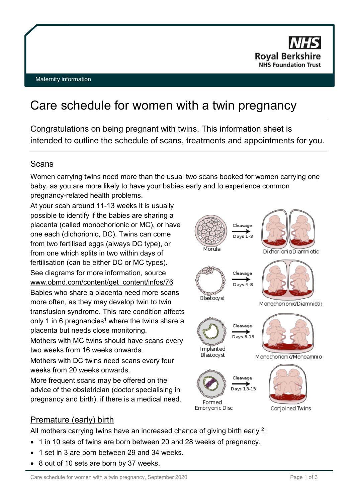

# Care schedule for women with a twin pregnancy

Congratulations on being pregnant with twins. This information sheet is intended to outline the schedule of scans, treatments and appointments for you.

# Scans

Women carrying twins need more than the usual two scans booked for women carrying one baby, as you are more likely to have your babies early and to experience common pregnancy-related health problems.

At your scan around 11-13 weeks it is usually possible to identify if the babies are sharing a placenta (called monochorionic or MC), or have one each (dichorionic, DC). Twins can come from two fertilised eggs (always DC type), or from one which splits in two within days of fertilisation (can be either DC or MC types). See diagrams for more information, source [www.obmd.com/content/get\\_content/infos/76](http://www.obmd.com/content/get_content/infos/76) Babies who share a placenta need more scans more often, as they may develop twin to twin transfusion syndrome. This rare condition affects only 1 in 6 pregnancies<sup>1</sup> where the twins share a placenta but needs close monitoring.

Mothers with MC twins should have scans every two weeks from 16 weeks onwards.

Mothers with DC twins need scans every four weeks from 20 weeks onwards.

More frequent scans may be offered on the advice of the obstetrician (doctor specialising in pregnancy and birth), if there is a medical need.



# Premature (early) birth

All mothers carrying twins have an increased chance of giving birth early <sup>2</sup>:

- 1 in 10 sets of twins are born between 20 and 28 weeks of pregnancy.
- 1 set in 3 are born between 29 and 34 weeks.
- 8 out of 10 sets are born by 37 weeks.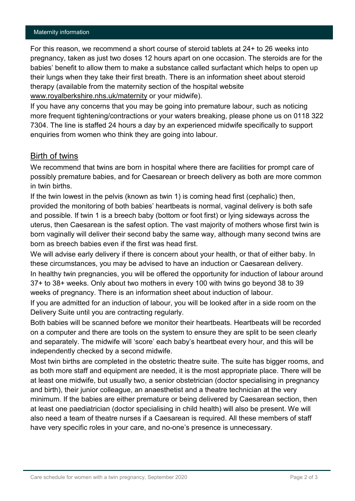#### Maternity information

For this reason, we recommend a short course of steroid tablets at 24+ to 26 weeks into pregnancy, taken as just two doses 12 hours apart on one occasion. The steroids are for the babies' benefit to allow them to make a substance called surfactant which helps to open up their lungs when they take their first breath. There is an information sheet about steroid therapy (available from the maternity section of the hospital website [www.royalberkshire.nhs.uk/maternity](http://www.royalberkshire.nhs.uk/maternity) or your midwife).

If you have any concerns that you may be going into premature labour, such as noticing more frequent tightening/contractions or your waters breaking, please phone us on 0118 322 7304. The line is staffed 24 hours a day by an experienced midwife specifically to support enquiries from women who think they are going into labour.

### Birth of twins

We recommend that twins are born in hospital where there are facilities for prompt care of possibly premature babies, and for Caesarean or breech delivery as both are more common in twin births.

If the twin lowest in the pelvis (known as twin 1) is coming head first (cephalic) then, provided the monitoring of both babies' heartbeats is normal, vaginal delivery is both safe and possible. If twin 1 is a breech baby (bottom or foot first) or lying sideways across the uterus, then Caesarean is the safest option. The vast majority of mothers whose first twin is born vaginally will deliver their second baby the same way, although many second twins are born as breech babies even if the first was head first.

We will advise early delivery if there is concern about your health, or that of either baby. In these circumstances, you may be advised to have an induction or Caesarean delivery. In healthy twin pregnancies, you will be offered the opportunity for induction of labour around 37+ to 38+ weeks. Only about two mothers in every 100 with twins go beyond 38 to 39 weeks of pregnancy. There is an information sheet about induction of labour.

If you are admitted for an induction of labour, you will be looked after in a side room on the Delivery Suite until you are contracting regularly.

Both babies will be scanned before we monitor their heartbeats. Heartbeats will be recorded on a computer and there are tools on the system to ensure they are split to be seen clearly and separately. The midwife will 'score' each baby's heartbeat every hour, and this will be independently checked by a second midwife.

Most twin births are completed in the obstetric theatre suite. The suite has bigger rooms, and as both more staff and equipment are needed, it is the most appropriate place. There will be at least one midwife, but usually two, a senior obstetrician (doctor specialising in pregnancy and birth), their junior colleague, an anaesthetist and a theatre technician at the very minimum. If the babies are either premature or being delivered by Caesarean section, then at least one paediatrician (doctor specialising in child health) will also be present. We will also need a team of theatre nurses if a Caesarean is required. All these members of staff have very specific roles in your care, and no-one's presence is unnecessary.